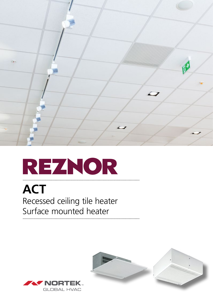

## REZNOR

### **ACT** Recessed ceiling tile heater Surface mounted heater



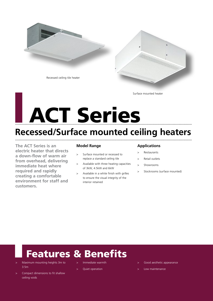

Surface mounted heater

# LACT Series

### **Recessed/Surface mounted ceiling heaters** ....................................................................................................................................................

**The ACT Series is an electric heater that directs a down-flow of warm air from overhead, delivering immediate heat where required and rapidly creating a comfortable environment for staff and customers.** 

#### **Model Range**

- Surface mounted or recessed to replace a standard ceiling tile
- Available with three heating capacities of 3kW, 4.5kW and 6kW
- Available in a white finish with grilles to ensure the visual integrity of the interior retained

#### **Applications**

- > Restaurants
- > Retail outlets
- > Showrooms
- > Stockrooms (surface mounted)

## Features & Benefits

- > Maximum mounting heights 3m to 3.5m
- Compact dimensions to fit shallow ceiling voids
- Immediate warmth
- Quiet operation
- Good aesthetic appearance
- Low maintenance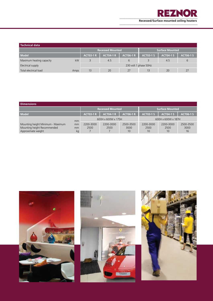

| l Technical data         |      |                         |                  |                  |                  |                  |                  |  |
|--------------------------|------|-------------------------|------------------|------------------|------------------|------------------|------------------|--|
|                          |      | <b>Recessed Mounted</b> |                  |                  | Surface Mounted  |                  |                  |  |
| Model                    |      | <b>ACT03-1 R</b>        | <b>ACT04-1 R</b> | <b>ACT06-1 R</b> | <b>ACT03-1 S</b> | <b>ACT04-1 S</b> | <b>ACT06-1 S</b> |  |
| Maximum heating capacity | kW   |                         | 4.5              | 6                |                  | 4.5              | ь                |  |
| Electrical supply        |      | 230 volt 1 phase 50Hz   |                  |                  |                  |                  |                  |  |
| Total electrical load    | Amps | 13                      | 20               | 27               | 13               | 20               | 27               |  |

| <b>Dimensions</b>                                                                      |                |                         |                   |                         |                         |                         |                         |  |  |  |  |
|----------------------------------------------------------------------------------------|----------------|-------------------------|-------------------|-------------------------|-------------------------|-------------------------|-------------------------|--|--|--|--|
|                                                                                        |                | <b>Recessed Mounted</b> |                   |                         | <b>Surface Mounted</b>  |                         |                         |  |  |  |  |
| <b>Model</b>                                                                           |                | <b>ACT03-1 R</b>        | <b>ACT04-1 R</b>  | <b>ACT06-1 R</b>        | <b>ACT03-1 S</b>        | <b>ACT04-1 S</b>        | <b>ACT06-1 S</b>        |  |  |  |  |
|                                                                                        | mm             | 600H x 600W x 175H      |                   |                         | 600H x 600W x 187H      |                         |                         |  |  |  |  |
| Mounting height Minimum - Maximum<br>Mounting height Recommended<br>Approximate weight | mm<br>mm<br>kg | 2200-3000<br>2500       | 2200-3000<br>2500 | 2500-3500<br>3000<br>10 | 2200-3000<br>2500<br>10 | 2200-3000<br>2500<br>10 | 2500-3500<br>3000<br>16 |  |  |  |  |